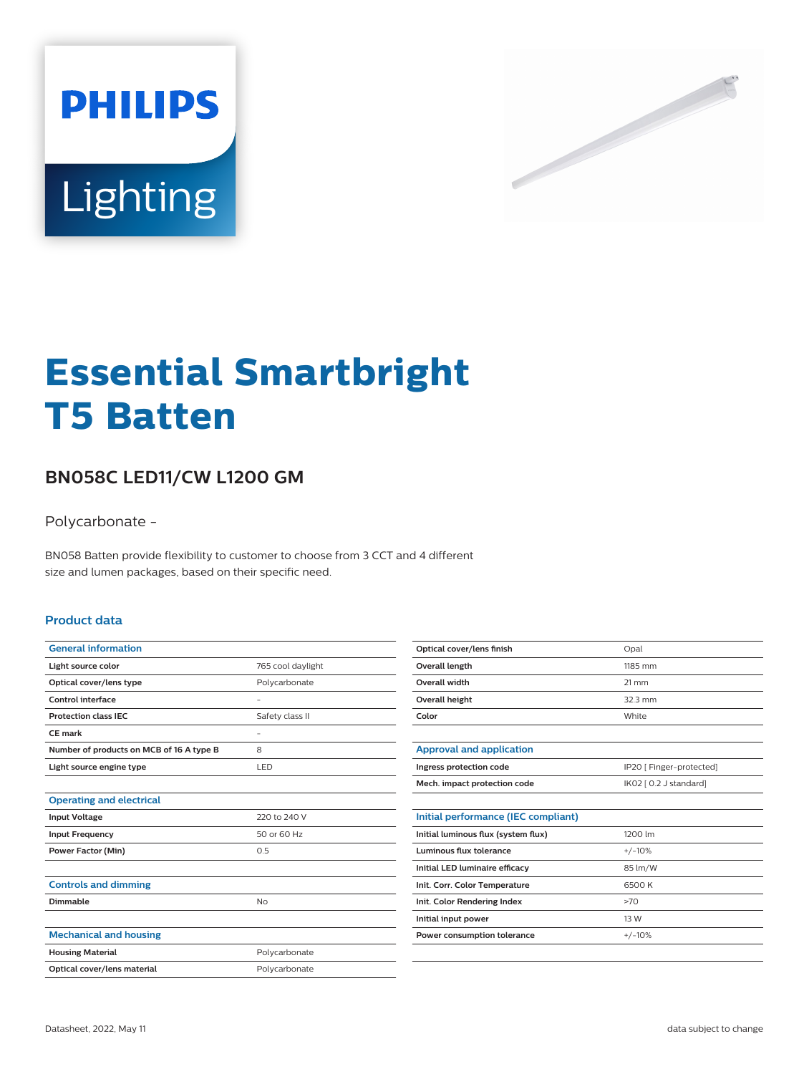



# **Essential Smartbright T5 Batten**

## **BN058C LED11/CW L1200 GM**

Polycarbonate -

BN058 Batten provide flexibility to customer to choose from 3 CCT and 4 different size and lumen packages, based on their specific need.

#### **Product data**

| <b>General information</b>               |                   |
|------------------------------------------|-------------------|
| Light source color                       | 765 cool daylight |
| Optical cover/lens type                  | Polycarbonate     |
| Control interface                        |                   |
| <b>Protection class IEC</b>              | Safety class II   |
| CE mark                                  |                   |
| Number of products on MCB of 16 A type B | 8                 |
| Light source engine type                 | LED               |
|                                          |                   |
| <b>Operating and electrical</b>          |                   |
| <b>Input Voltage</b>                     | 220 to 240 V      |
| <b>Input Frequency</b>                   | 50 or 60 Hz       |
| <b>Power Factor (Min)</b>                | 0.5               |
|                                          |                   |
| <b>Controls and dimming</b>              |                   |
| Dimmable                                 | No                |
|                                          |                   |
| <b>Mechanical and housing</b>            |                   |
| <b>Housing Material</b>                  | Polycarbonate     |
| Optical cover/lens material              | Polycarbonate     |
|                                          |                   |

| Optical cover/lens finish | Opal            |
|---------------------------|-----------------|
| Overall length            | 1185 mm         |
| Overall width             | $21 \text{ mm}$ |
| Overall height            | $32.3$ mm       |
| Color                     | White           |
|                           |                 |

| Approval and application     |                          |
|------------------------------|--------------------------|
| Ingress protection code      | IP20 [ Finger-protected] |
| Mech. impact protection code | IK02 [ 0.2 J standard]   |

| Initial performance (IEC compliant) |          |
|-------------------------------------|----------|
| Initial luminous flux (system flux) | 1200 lm  |
| Luminous flux tolerance             | $+/-10%$ |
| Initial LED luminaire efficacy      | 85 lm/W  |
| Init. Corr. Color Temperature       | 6500 K   |
| Init. Color Rendering Index         | >70      |
| Initial input power                 | 13 W     |
| Power consumption tolerance         | $+/-10%$ |
|                                     |          |